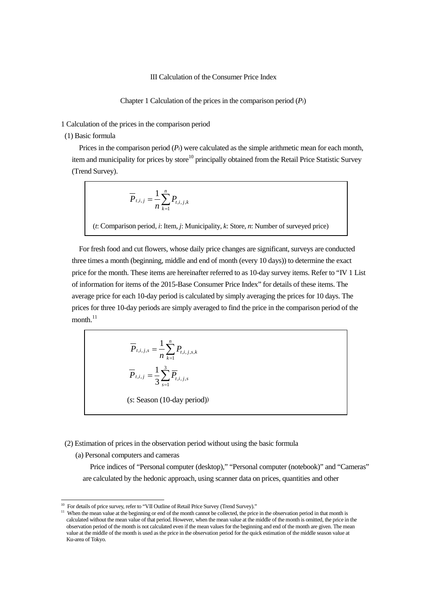## III Calculation of the Consumer Price Index

Chapter 1 Calculation of the prices in the comparison period (*Pt*)

1 Calculation of the prices in the comparison period

(1) Basic formula

Prices in the comparison period  $(P_t)$  were calculated as the simple arithmetic mean for each month, item and municipality for prices by store<sup>10</sup> principally obtained from the Retail Price Statistic Survey (Trend Survey).

$$
\overline{P}_{t,i,j} = \frac{1}{n} \sum_{k=1}^{n} P_{t,i,j,k}
$$

(*t*: Comparison period, *i*: Item, *j*: Municipality, *k*: Store, *n*: Number of surveyed price)

For fresh food and cut flowers, whose daily price changes are significant, surveys are conducted three times a month (beginning, middle and end of month (every 10 days)) to determine the exact price for the month. These items are hereinafter referred to as 10-day survey items. Refer to "IV 1 List of information for items of the 2015-Base Consumer Price Index" for details of these items. The average price for each 10-day period is calculated by simply averaging the prices for 10 days. The prices for three 10-day periods are simply averaged to find the price in the comparison period of the month. $11$ 

$$
\overline{P}_{t,i,j,s} = \frac{1}{n} \sum_{k=1}^{n} P_{t,i,j,s,k}
$$

$$
\overline{P}_{t,i,j} = \frac{1}{3} \sum_{s=1}^{3} \overline{P}_{t,i,j,s}
$$
(s: Season (10-day period))

(2) Estimation of prices in the observation period without using the basic formula

(a) Personal computers and cameras

Price indices of "Personal computer (desktop)," "Personal computer (notebook)" and "Cameras" are calculated by the hedonic approach, using scanner data on prices, quantities and other

<sup>&</sup>lt;sup>10</sup> For details of price survey, refer to "VII Outline of Retail Price Survey (Trend Survey)."

<span id="page-0-1"></span><span id="page-0-0"></span><sup>&</sup>lt;sup>11</sup> When the mean value at the beginning or end of the month cannot be collected, the price in the observation period in that month is calculated without the mean value of that period. However, when the mean value at the middle of the month is omitted, the price in the observation period of the month is not calculated even if the mean values for the beginning and end of the month are given. The mean value at the middle of the month is used as the price in the observation period for the quick estimation of the middle season value at Ku-area of Tokyo.